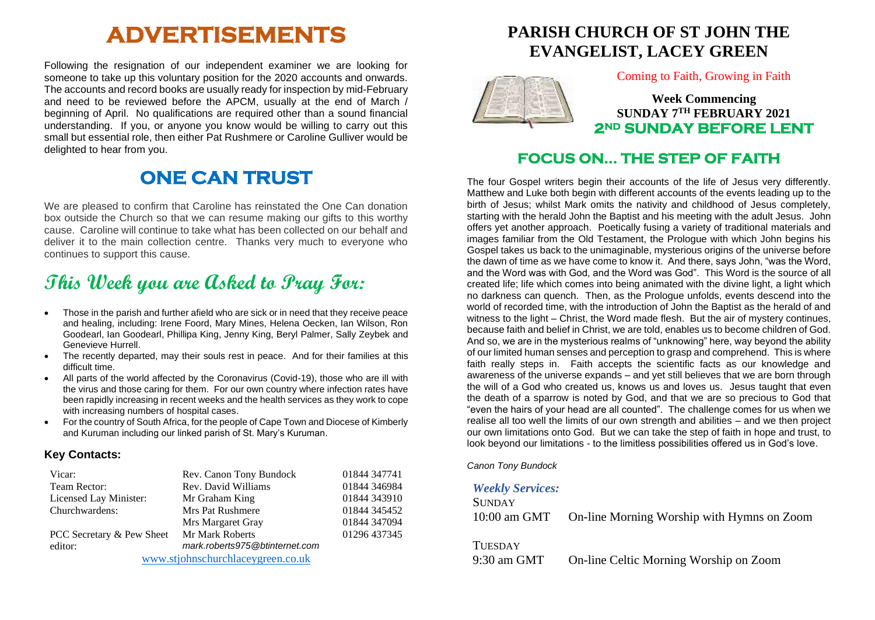# **ADVERTISEMENTS**

Following the resignation of our independent examiner we are looking for someone to take up this voluntary position for the 2020 accounts and onwards. The accounts and record books are usually ready for inspection by mid-February and need to be reviewed before the APCM, usually at the end of March / beginning of April. No qualifications are required other than a sound financial understanding. If you, or anyone you know would be willing to carry out this small but essential role, then either Pat Rushmere or Caroline Gulliver would be delighted to hear from you.

## **ONE CAN TRUST**

We are pleased to confirm that Caroline has reinstated the One Can donation box outside the Church so that we can resume making our gifts to this worthy cause. Caroline will continue to take what has been collected on our behalf and deliver it to the main collection centre. Thanks very much to everyone who continues to support this cause.

# **This Week you are Asked to Pray For:**

- Those in the parish and further afield who are sick or in need that they receive peace and healing, including: Irene Foord, Mary Mines, Helena Oecken, Ian Wilson, Ron Goodearl, Ian Goodearl, Phillipa King, Jenny King, Beryl Palmer, Sally Zeybek and Genevieve Hurrell.
- The recently departed, may their souls rest in peace. And for their families at this difficult time.
- All parts of the world affected by the Coronavirus (Covid-19), those who are ill with the virus and those caring for them. For our own country where infection rates have been rapidly increasing in recent weeks and the health services as they work to cope with increasing numbers of hospital cases.
- For the country of South Africa, for the people of Cape Town and Diocese of Kimberly and Kuruman including our linked parish of St. Mary's Kuruman.

#### **Key Contacts:**

| Vicar:                            | Rev. Canon Tony Bundock        | 01844 347741 |
|-----------------------------------|--------------------------------|--------------|
| Team Rector:                      | Rev. David Williams            | 01844 346984 |
| Licensed Lay Minister:            | Mr Graham King                 | 01844 343910 |
| Churchwardens:                    | <b>Mrs Pat Rushmere</b>        | 01844 345452 |
|                                   | Mrs Margaret Gray              | 01844 347094 |
| PCC Secretary & Pew Sheet         | Mr Mark Roberts                | 01296 437345 |
| editor:                           | mark.roberts975@btinternet.com |              |
| www.stjohnschurchlaceygreen.co.uk |                                |              |

## **PARISH CHURCH OF ST JOHN THE EVANGELIST, LACEY GREEN**



Coming to Faith, Growing in Faith

**Week Commencing SUNDAY 7TH FEBRUARY 2021 2ND SUNDAY BEFORE LENT** 

### **FOCUS ON… THE STEP OF FAITH**

The four Gospel writers begin their accounts of the life of Jesus very differently. Matthew and Luke both begin with different accounts of the events leading up to the birth of Jesus; whilst Mark omits the nativity and childhood of Jesus completely, starting with the herald John the Baptist and his meeting with the adult Jesus. John offers yet another approach. Poetically fusing a variety of traditional materials and images familiar from the Old Testament, the Prologue with which John begins his Gospel takes us back to the unimaginable, mysterious origins of the universe before the dawn of time as we have come to know it. And there, says John, "was the Word, and the Word was with God, and the Word was God". This Word is the source of all created life; life which comes into being animated with the divine light, a light which no darkness can quench. Then, as the Prologue unfolds, events descend into the world of recorded time, with the introduction of John the Baptist as the herald of and witness to the light – Christ, the Word made flesh. But the air of mystery continues, because faith and belief in Christ, we are told, enables us to become children of God. And so, we are in the mysterious realms of "unknowing" here, way beyond the ability of our limited human senses and perception to grasp and comprehend. This is where faith really steps in. Faith accepts the scientific facts as our knowledge and awareness of the universe expands – and yet still believes that we are born through the will of a God who created us, knows us and loves us. Jesus taught that even the death of a sparrow is noted by God, and that we are so precious to God that "even the hairs of your head are all counted". The challenge comes for us when we realise all too well the limits of our own strength and abilities – and we then project our own limitations onto God. But we can take the step of faith in hope and trust, to look beyond our limitations - to the limitless possibilities offered us in God's love.

*Canon Tony Bundock*

#### *Weekly Services:*

| <b>SUNDAY</b> |                                            |
|---------------|--------------------------------------------|
| 10:00 am GMT  | On-line Morning Worship with Hymns on Zoom |
|               |                                            |

**TUESDAY** 

9:30 am GMT On-line Celtic Morning Worship on Zoom